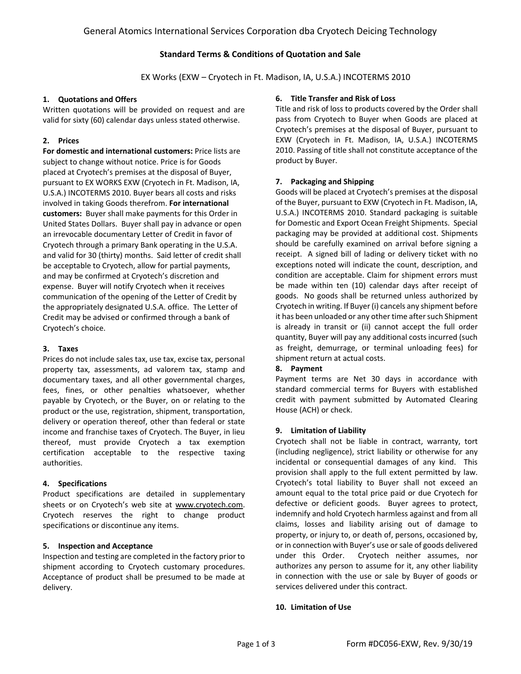# **Standard Terms & Conditions of Quotation and Sale**

EX Works (EXW – Cryotech in Ft. Madison, IA, U.S.A.) INCOTERMS 2010

## **1. Quotations and Offers**

Written quotations will be provided on request and are valid for sixty (60) calendar days unless stated otherwise.

## **2. Prices**

**For domestic and international customers:** Price lists are subject to change without notice. Price is for Goods placed at Cryotech's premises at the disposal of Buyer, pursuant to EX WORKS EXW (Cryotech in Ft. Madison, IA, U.S.A.) INCOTERMS 2010. Buyer bears all costs and risks involved in taking Goods therefrom. **For international customers:** Buyer shall make payments for this Order in United States Dollars. Buyer shall pay in advance or open an irrevocable documentary Letter of Credit in favor of Cryotech through a primary Bank operating in the U.S.A. and valid for 30 (thirty) months. Said letter of credit shall be acceptable to Cryotech, allow for partial payments, and may be confirmed at Cryotech's discretion and expense. Buyer will notify Cryotech when it receives communication of the opening of the Letter of Credit by the appropriately designated U.S.A. office. The Letter of Credit may be advised or confirmed through a bank of Cryotech's choice.

## **3. Taxes**

Prices do not include sales tax, use tax, excise tax, personal property tax, assessments, ad valorem tax, stamp and documentary taxes, and all other governmental charges, fees, fines, or other penalties whatsoever, whether payable by Cryotech, or the Buyer, on or relating to the product or the use, registration, shipment, transportation, delivery or operation thereof, other than federal or state income and franchise taxes of Cryotech. The Buyer, in lieu thereof, must provide Cryotech a tax exemption certification acceptable to the respective taxing authorities.

## **4. Specifications**

Product specifications are detailed in supplementary sheets or on Cryotech's web site at www.cryotech.com. Cryotech reserves the right to change product specifications or discontinue any items.

## **5. Inspection and Acceptance**

Inspection and testing are completed in the factory prior to shipment according to Cryotech customary procedures. Acceptance of product shall be presumed to be made at delivery.

## **6. Title Transfer and Risk of Loss**

Title and risk of loss to products covered by the Order shall pass from Cryotech to Buyer when Goods are placed at Cryotech's premises at the disposal of Buyer, pursuant to EXW (Cryotech in Ft. Madison, IA, U.S.A.) INCOTERMS 2010. Passing of title shall not constitute acceptance of the product by Buyer.

### **7. Packaging and Shipping**

Goods will be placed at Cryotech's premises at the disposal of the Buyer, pursuant to EXW (Cryotech in Ft. Madison, IA, U.S.A.) INCOTERMS 2010. Standard packaging is suitable for Domestic and Export Ocean Freight Shipments. Special packaging may be provided at additional cost. Shipments should be carefully examined on arrival before signing a receipt. A signed bill of lading or delivery ticket with no exceptions noted will indicate the count, description, and condition are acceptable. Claim for shipment errors must be made within ten (10) calendar days after receipt of goods. No goods shall be returned unless authorized by Cryotech in writing. If Buyer (i) cancels any shipment before it has been unloaded or any other time after such Shipment is already in transit or (ii) cannot accept the full order quantity, Buyer will pay any additional costs incurred (such as freight, demurrage, or terminal unloading fees) for shipment return at actual costs.

## **8. Payment**

Payment terms are Net 30 days in accordance with standard commercial terms for Buyers with established credit with payment submitted by Automated Clearing House (ACH) or check.

### **9. Limitation of Liability**

Cryotech shall not be liable in contract, warranty, tort (including negligence), strict liability or otherwise for any incidental or consequential damages of any kind. This provision shall apply to the full extent permitted by law. Cryotech's total liability to Buyer shall not exceed an amount equal to the total price paid or due Cryotech for defective or deficient goods. Buyer agrees to protect, indemnify and hold Cryotech harmless against and from all claims, losses and liability arising out of damage to property, or injury to, or death of, persons, occasioned by, or in connection with Buyer's use or sale of goods delivered under this Order. Cryotech neither assumes, nor authorizes any person to assume for it, any other liability in connection with the use or sale by Buyer of goods or services delivered under this contract.

### **10. Limitation of Use**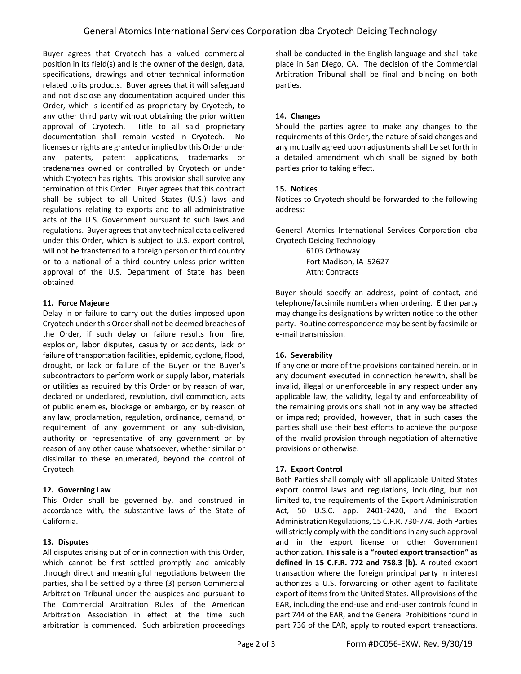Buyer agrees that Cryotech has a valued commercial position in its field(s) and is the owner of the design, data, specifications, drawings and other technical information related to its products. Buyer agrees that it will safeguard and not disclose any documentation acquired under this Order, which is identified as proprietary by Cryotech, to any other third party without obtaining the prior written approval of Cryotech. Title to all said proprietary documentation shall remain vested in Cryotech. No licenses or rights are granted or implied by this Order under any patents, patent applications, trademarks or tradenames owned or controlled by Cryotech or under which Cryotech has rights. This provision shall survive any termination of this Order. Buyer agrees that this contract shall be subject to all United States (U.S.) laws and regulations relating to exports and to all administrative acts of the U.S. Government pursuant to such laws and regulations. Buyer agrees that any technical data delivered under this Order, which is subject to U.S. export control, will not be transferred to a foreign person or third country or to a national of a third country unless prior written approval of the U.S. Department of State has been obtained.

## **11. Force Majeure**

Delay in or failure to carry out the duties imposed upon Cryotech under this Order shall not be deemed breaches of the Order, if such delay or failure results from fire, explosion, labor disputes, casualty or accidents, lack or failure of transportation facilities, epidemic, cyclone, flood, drought, or lack or failure of the Buyer or the Buyer's subcontractors to perform work or supply labor, materials or utilities as required by this Order or by reason of war, declared or undeclared, revolution, civil commotion, acts of public enemies, blockage or embargo, or by reason of any law, proclamation, regulation, ordinance, demand, or requirement of any government or any sub‐division, authority or representative of any government or by reason of any other cause whatsoever, whether similar or dissimilar to these enumerated, beyond the control of Cryotech.

## **12. Governing Law**

This Order shall be governed by, and construed in accordance with, the substantive laws of the State of California.

## **13. Disputes**

All disputes arising out of or in connection with this Order, which cannot be first settled promptly and amicably through direct and meaningful negotiations between the parties, shall be settled by a three (3) person Commercial Arbitration Tribunal under the auspices and pursuant to The Commercial Arbitration Rules of the American Arbitration Association in effect at the time such arbitration is commenced. Such arbitration proceedings shall be conducted in the English language and shall take place in San Diego, CA. The decision of the Commercial Arbitration Tribunal shall be final and binding on both parties.

# **14. Changes**

Should the parties agree to make any changes to the requirements of this Order, the nature of said changes and any mutually agreed upon adjustments shall be set forth in a detailed amendment which shall be signed by both parties prior to taking effect.

## **15. Notices**

Notices to Cryotech should be forwarded to the following address:

General Atomics International Services Corporation dba Cryotech Deicing Technology

> 6103 Orthoway Fort Madison, IA 52627 Attn: Contracts

Buyer should specify an address, point of contact, and telephone/facsimile numbers when ordering. Either party may change its designations by written notice to the other party. Routine correspondence may be sent by facsimile or e‐mail transmission.

## **16. Severability**

If any one or more of the provisions contained herein, or in any document executed in connection herewith, shall be invalid, illegal or unenforceable in any respect under any applicable law, the validity, legality and enforceability of the remaining provisions shall not in any way be affected or impaired; provided, however, that in such cases the parties shall use their best efforts to achieve the purpose of the invalid provision through negotiation of alternative provisions or otherwise.

# **17. Export Control**

Both Parties shall comply with all applicable United States export control laws and regulations, including, but not limited to, the requirements of the Export Administration Act, 50 U.S.C. app. 2401‐2420, and the Export Administration Regulations, 15 C.F.R. 730‐774. Both Parties will strictly comply with the conditions in any such approval and in the export license or other Government authorization. **This sale is a "routed export transaction" as defined in 15 C.F.R. 772 and 758.3 (b).** A routed export transaction where the foreign principal party in interest authorizes a U.S. forwarding or other agent to facilitate export of items from the United States. All provisions of the EAR, including the end‐use and end‐user controls found in part 744 of the EAR, and the General Prohibitions found in part 736 of the EAR, apply to routed export transactions.